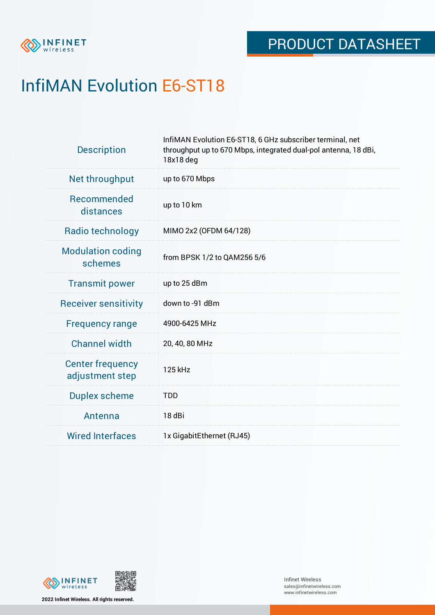

# InfiMAN Evolution E6-ST18

| <b>Description</b>                         | InfiMAN Evolution E6-ST18, 6 GHz subscriber terminal, net<br>throughput up to 670 Mbps, integrated dual-pol antenna, 18 dBi,<br>18x18 deg |  |  |  |
|--------------------------------------------|-------------------------------------------------------------------------------------------------------------------------------------------|--|--|--|
| Net throughput                             | up to 670 Mbps                                                                                                                            |  |  |  |
| Recommended<br>distances                   | up to 10 km                                                                                                                               |  |  |  |
| <b>Radio technology</b>                    | MIMO 2x2 (OFDM 64/128)                                                                                                                    |  |  |  |
| <b>Modulation coding</b><br>schemes        | from BPSK 1/2 to QAM256 5/6                                                                                                               |  |  |  |
| <b>Transmit power</b>                      | up to 25 dBm                                                                                                                              |  |  |  |
| <b>Receiver sensitivity</b>                | down to -91 dBm                                                                                                                           |  |  |  |
| <b>Frequency range</b>                     | 4900-6425 MHz                                                                                                                             |  |  |  |
| <b>Channel width</b>                       | 20, 40, 80 MHz                                                                                                                            |  |  |  |
| <b>Center frequency</b><br>adjustment step | 125 kHz                                                                                                                                   |  |  |  |
| <b>Duplex scheme</b>                       | <b>TDD</b>                                                                                                                                |  |  |  |
| Antenna                                    | 18 dBi                                                                                                                                    |  |  |  |
| <b>Wired Interfaces</b>                    | 1x GigabitEthernet (RJ45)                                                                                                                 |  |  |  |



**2022 Infinet Wireless. All rights reserved.**

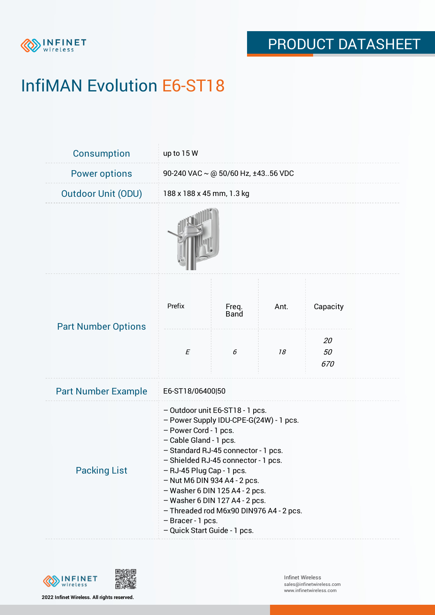

# InfiMAN Evolution E6-ST18

| Consumption                | up to 15 W                                                                                                                                                                                                                                                                                                                                                                                                                                        |                      |      |                 |  |  |
|----------------------------|---------------------------------------------------------------------------------------------------------------------------------------------------------------------------------------------------------------------------------------------------------------------------------------------------------------------------------------------------------------------------------------------------------------------------------------------------|----------------------|------|-----------------|--|--|
| <b>Power options</b>       | 90-240 VAC $\sim$ @ 50/60 Hz, ±4356 VDC                                                                                                                                                                                                                                                                                                                                                                                                           |                      |      |                 |  |  |
| <b>Outdoor Unit (ODU)</b>  | 188 x 188 x 45 mm, 1.3 kg                                                                                                                                                                                                                                                                                                                                                                                                                         |                      |      |                 |  |  |
|                            |                                                                                                                                                                                                                                                                                                                                                                                                                                                   |                      |      |                 |  |  |
| <b>Part Number Options</b> | Prefix                                                                                                                                                                                                                                                                                                                                                                                                                                            | Freq.<br><b>Band</b> | Ant. | Capacity        |  |  |
|                            | $\cal E$                                                                                                                                                                                                                                                                                                                                                                                                                                          | 6                    | 18   | 20<br>50<br>670 |  |  |
| <b>Part Number Example</b> | E6-ST18/06400 50                                                                                                                                                                                                                                                                                                                                                                                                                                  |                      |      |                 |  |  |
| <b>Packing List</b>        | - Outdoor unit E6-ST18 - 1 pcs.<br>- Power Supply IDU-CPE-G(24W) - 1 pcs.<br>- Power Cord - 1 pcs.<br>- Cable Gland - 1 pcs.<br>- Standard RJ-45 connector - 1 pcs.<br>- Shielded RJ-45 connector - 1 pcs.<br>- RJ-45 Plug Cap - 1 pcs.<br>$-$ Nut M6 DIN 934 A4 - 2 pcs.<br>$-$ Washer 6 DIN 125 A4 - 2 pcs.<br>$-$ Washer 6 DIN 127 A4 - 2 pcs.<br>- Threaded rod M6x90 DIN976 A4 - 2 pcs.<br>- Bracer - 1 pcs.<br>- Quick Start Guide - 1 pcs. |                      |      |                 |  |  |



**2022 Infinet Wireless. All rights reserved.**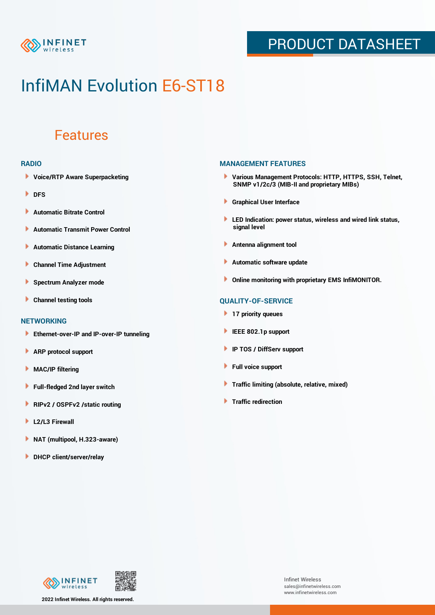

### PRODUCT DATASHEET

## InfiMAN Evolution E6-ST18

### Features

#### **RADIO**

- **Voice/RTP Aware Superpacketing**
- **DFS**
- **Automatic Bitrate Control** Þ
- Þ **Automatic Transmit Power Control**
- Þ **Automatic Distance Learning**
- Þ **Channel Time Adjustment**
- Þ **Spectrum Analyzer mode**
- Þ **Channel testing tools**

### **NETWORKING**

- **Ethernet-over-IP and IP-over-IP tunneling**
- Þ **ARP protocol support**
- **MAC/IP filtering** Þ
- **Full-fledged 2nd layer switch**
- Þ **RIPv2 / OSPFv2 /static routing**
- ٠ **L2/L3 Firewall**
- × **NAT (multipool, H.323-aware)**
- **DHCP client/server/relay**

#### **MANAGEMENT FEATURES**

- **Various Management Protocols: HTTP, HTTPS, SSH, Telnet, SNMP v1/2c/3 (MIB-II and proprietary MIBs)**
- **Graphical User Interface**
- **LED Indication: power status, wireless and wired link status, signal level**
- **Antenna alignment tool**
- ٠ **Automatic software update**
- **Online monitoring with proprietary EMS InfiMONITOR.**

### **QUALITY-OF-SERVICE**

- **17 priority queues**
- **IEEE 802.1p support**
- **IP TOS / DiffServ support**
- ٠ **Full voice support**
- **Traffic limiting (absolute, relative, mixed)** ٠
- **Traffic redirection**



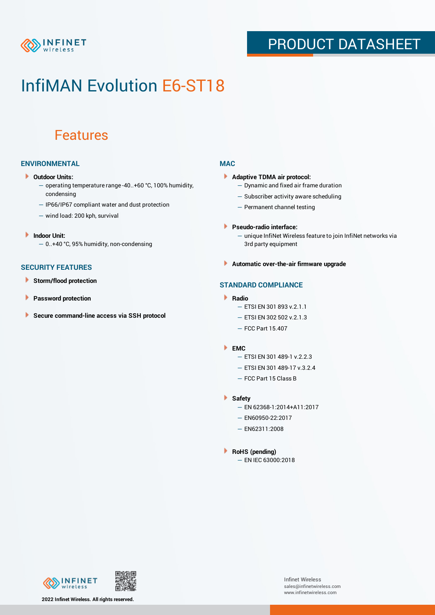

### PRODUCT DATASHEET

## InfiMAN Evolution E6-ST18

### Features

### **ENVIRONMENTAL**

- **Outdoor Units:**
	- operating temperature range -40..+60 °C, 100% humidity, condensing
	- IP66/IP67 compliant water and dust protection
	- wind load: 200 kph, survival
- ¥ **Indoor Unit:**
	- 0..+40 °C, 95% humidity, non-condensing

#### **SECURITY FEATURES**

- Þ **Storm/flood protection**
- Þ **Password protection**
- Þ **Secure command-line access via SSH protocol**

### **MAC**

- **Adaptive TDMA air protocol:**
	- Dynamic and fixed air frame duration
	- Subscriber activity aware scheduling
	- Permanent channel testing
- **Pseudo-radio interface:**
	- unique InfiNet Wireless feature to join InfiNet networks via 3rd party equipment
- **Automatic over-the-air firmware upgrade**

### **STANDARD COMPLIANCE**

- **Radio**
	- ETSI EN 301 893 v.2.1.1
	- ETSI EN 302 502 v.2.1.3
	- FCC Part 15.407

#### **EMC**

- ETSI EN 301 489-1 v.2.2.3
- ETSI EN 301 489-17 v.3.2.4
- FCC Part 15 Class B
- **Safety**
	- EN 62368-1:2014+A11:2017
	- EN60950-22:2017
	- EN62311:2008
- **RoHS (pending)**
	- EN IEC 63000:2018